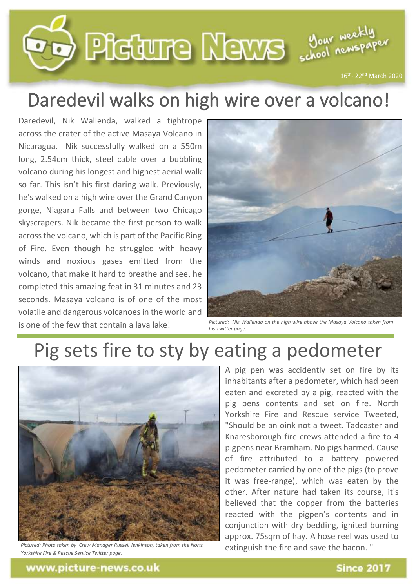

## Daredevil walks on high wire over a volcano!

Daredevil, Nik Wallenda, walked a tightrope across the crater of the active Masaya Volcano in Nicaragua. Nik successfully walked on a 550m long, 2.54cm thick, steel cable over a bubbling volcano during his longest and highest aerial walk so far. This isn't his first daring walk. Previously, he's walked on a high wire over the Grand Canyon gorge, Niagara Falls and between two Chicago skyscrapers. Nik became the first person to walk across the volcano, which is part of the Pacific Ring of Fire. Even though he struggled with heavy winds and noxious gases emitted from the volcano, that make it hard to breathe and see, he completed this amazing feat in 31 minutes and 23 seconds. Masaya volcano is of one of the most volatile and dangerous volcanoes in the world and is one of the few that contain a lava lake!



*Pictured: Nik Wallenda on the high wire above the Masaya Volcano taken from his Twitter page.*

## Pig sets fire to sty by eating a pedometer



*Pictured: Photo taken by Crew Manager Russell Jenkinson, taken from the North Yorkshire Fire & Rescue Service Twitter page.*

A pig pen was accidently set on fire by its inhabitants after a pedometer, which had been eaten and excreted by a pig, reacted with the pig pens contents and set on fire. North Yorkshire Fire and Rescue service Tweeted, "Should be an oink not a tweet. Tadcaster and Knaresborough fire crews attended a fire to 4 pigpens near Bramham. No pigs harmed. Cause of fire attributed to a battery powered pedometer carried by one of the pigs (to prove it was free-range), which was eaten by the other. After nature had taken its course, it's believed that the copper from the batteries reacted with the pigpen's contents and in conjunction with dry bedding, ignited burning approx. 75sqm of hay. A hose reel was used to extinguish the fire and save the bacon. "